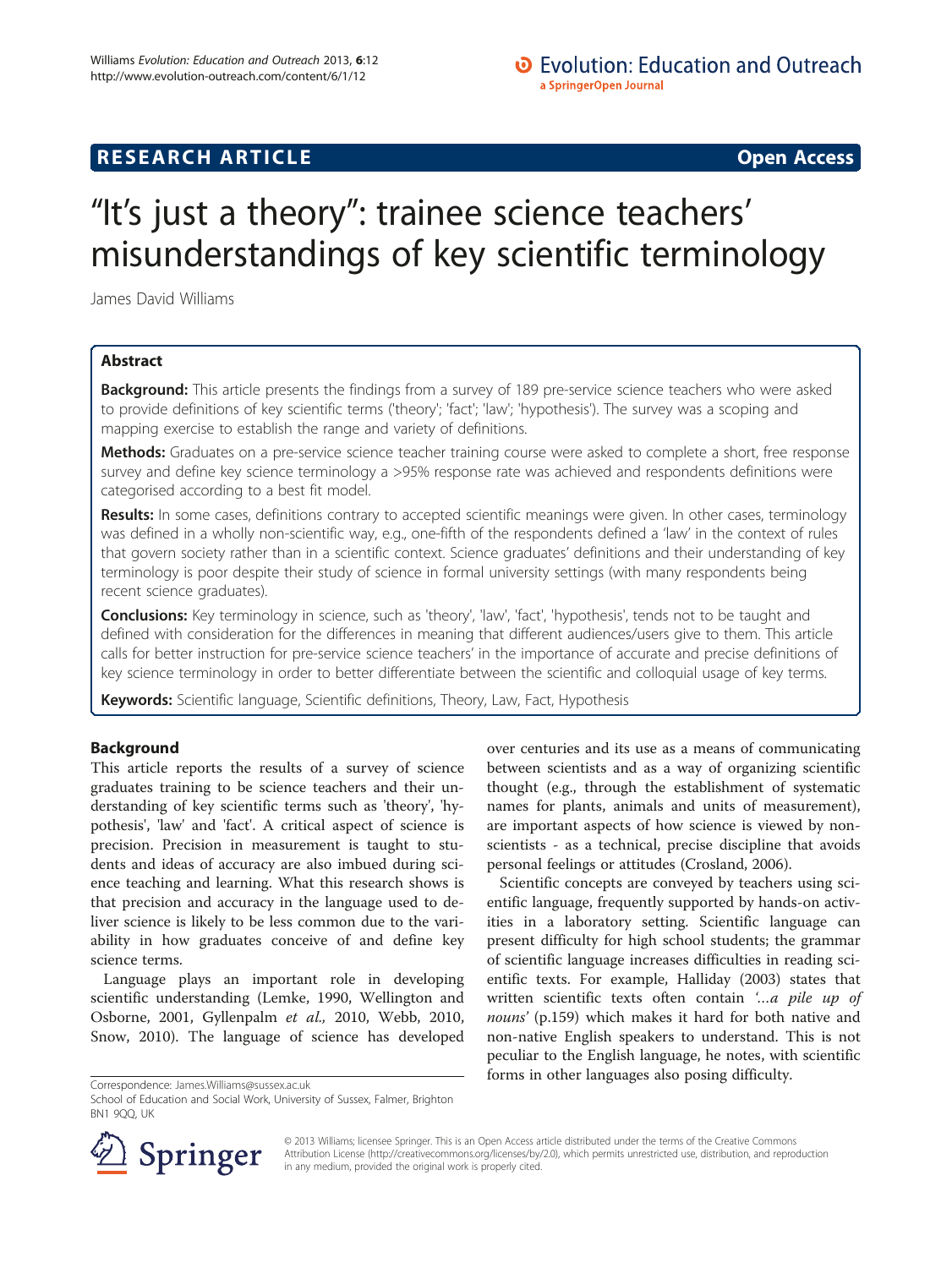# **RESEARCH ARTICLE Example 2014 12:30 The SEAR CHA RTICLE**

# "It's just a theory": trainee science teachers' misunderstandings of key scientific terminology

James David Williams

# Abstract

**Background:** This article presents the findings from a survey of 189 pre-service science teachers who were asked to provide definitions of key scientific terms ('theory'; 'fact'; 'law'; 'hypothesis'). The survey was a scoping and mapping exercise to establish the range and variety of definitions.

Methods: Graduates on a pre-service science teacher training course were asked to complete a short, free response survey and define key science terminology a >95% response rate was achieved and respondents definitions were categorised according to a best fit model.

Results: In some cases, definitions contrary to accepted scientific meanings were given. In other cases, terminology was defined in a wholly non-scientific way, e.g., one-fifth of the respondents defined a 'law' in the context of rules that govern society rather than in a scientific context. Science graduates' definitions and their understanding of key terminology is poor despite their study of science in formal university settings (with many respondents being recent science graduates).

Conclusions: Key terminology in science, such as 'theory', 'law', 'fact', 'hypothesis', tends not to be taught and defined with consideration for the differences in meaning that different audiences/users give to them. This article calls for better instruction for pre-service science teachers' in the importance of accurate and precise definitions of key science terminology in order to better differentiate between the scientific and colloquial usage of key terms.

Keywords: Scientific language, Scientific definitions, Theory, Law, Fact, Hypothesis

# Background

This article reports the results of a survey of science graduates training to be science teachers and their understanding of key scientific terms such as 'theory', 'hypothesis', 'law' and 'fact'. A critical aspect of science is precision. Precision in measurement is taught to students and ideas of accuracy are also imbued during science teaching and learning. What this research shows is that precision and accuracy in the language used to deliver science is likely to be less common due to the variability in how graduates conceive of and define key science terms.

Language plays an important role in developing scientific understanding (Lemke, [1990](#page-8-0), Wellington and Osborne, [2001](#page-8-0), Gyllenpalm et al., [2010](#page-8-0), Webb, [2010](#page-8-0), Snow, [2010\)](#page-8-0). The language of science has developed

over centuries and its use as a means of communicating between scientists and as a way of organizing scientific thought (e.g., through the establishment of systematic names for plants, animals and units of measurement), are important aspects of how science is viewed by nonscientists - as a technical, precise discipline that avoids personal feelings or attitudes (Crosland, [2006](#page-8-0)).

Scientific concepts are conveyed by teachers using scientific language, frequently supported by hands-on activities in a laboratory setting. Scientific language can present difficulty for high school students; the grammar of scientific language increases difficulties in reading scientific texts. For example, Halliday ([2003\)](#page-8-0) states that written scientific texts often contain '…a pile up of nouns' (p.159) which makes it hard for both native and non-native English speakers to understand. This is not peculiar to the English language, he notes, with scientific forms in other languages also posing difficulty. Correspondence: [James.Williams@sussex.ac.uk](mailto:James.Williams@sussex.ac.uk)



© 2013 Williams; licensee Springer. This is an Open Access article distributed under the terms of the Creative Commons Attribution License [\(http://creativecommons.org/licenses/by/2.0\)](http://creativecommons.org/licenses/by/2.0), which permits unrestricted use, distribution, and reproduction in any medium, provided the original work is properly cited.

School of Education and Social Work, University of Sussex, Falmer, Brighton BN1 9QQ, UK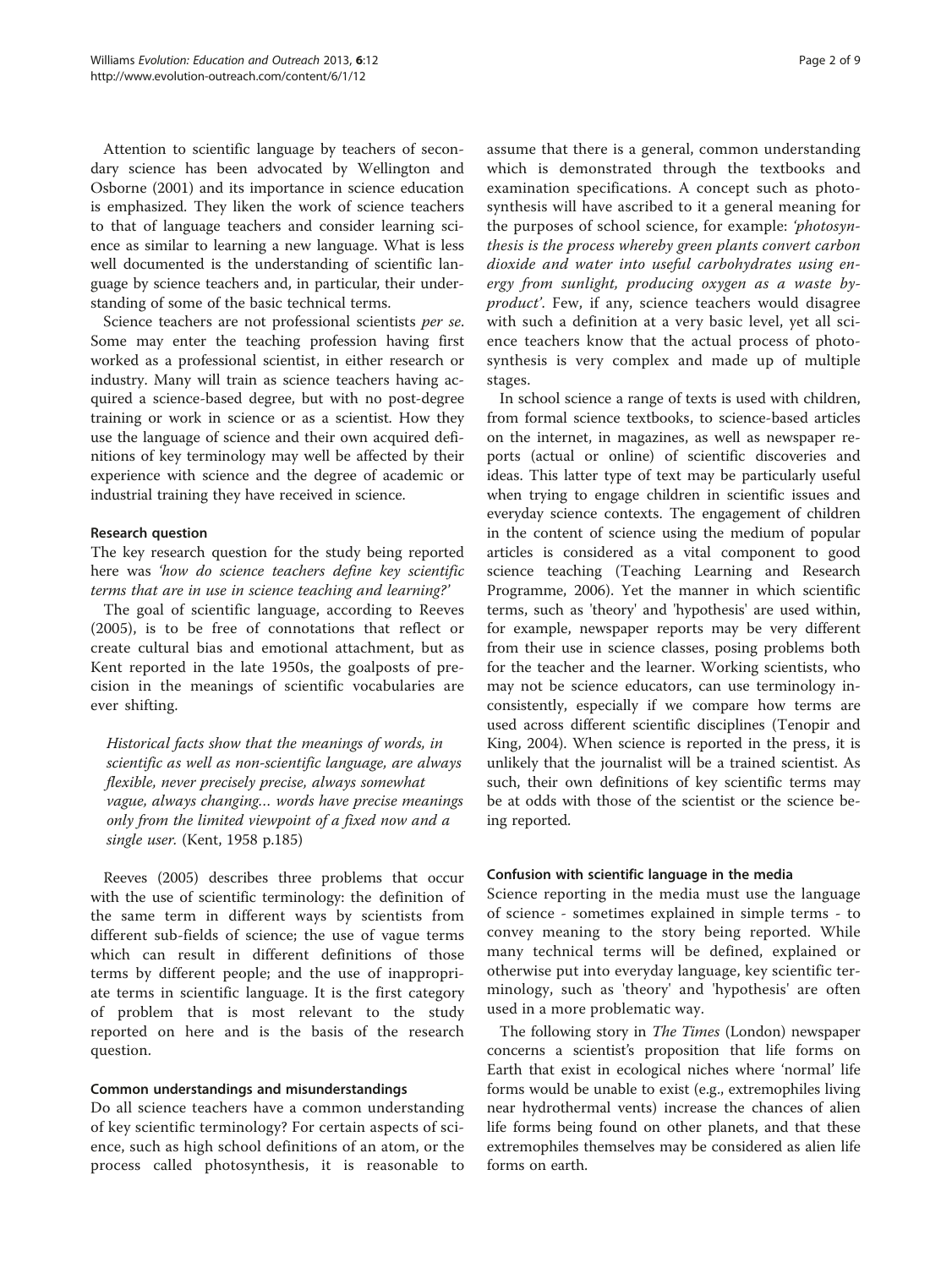Attention to scientific language by teachers of secondary science has been advocated by Wellington and Osborne [\(2001](#page-8-0)) and its importance in science education is emphasized. They liken the work of science teachers to that of language teachers and consider learning science as similar to learning a new language. What is less well documented is the understanding of scientific language by science teachers and, in particular, their understanding of some of the basic technical terms.

Science teachers are not professional scientists per se. Some may enter the teaching profession having first worked as a professional scientist, in either research or industry. Many will train as science teachers having acquired a science-based degree, but with no post-degree training or work in science or as a scientist. How they use the language of science and their own acquired definitions of key terminology may well be affected by their experience with science and the degree of academic or industrial training they have received in science.

#### Research question

The key research question for the study being reported here was 'how do science teachers define key scientific terms that are in use in science teaching and learning?'

The goal of scientific language, according to Reeves ([2005](#page-8-0)), is to be free of connotations that reflect or create cultural bias and emotional attachment, but as Kent reported in the late 1950s, the goalposts of precision in the meanings of scientific vocabularies are ever shifting.

Historical facts show that the meanings of words, in scientific as well as non-scientific language, are always flexible, never precisely precise, always somewhat vague, always changing… words have precise meanings only from the limited viewpoint of a fixed now and a single user. (Kent, [1958](#page-8-0) p.185)

Reeves ([2005](#page-8-0)) describes three problems that occur with the use of scientific terminology: the definition of the same term in different ways by scientists from different sub-fields of science; the use of vague terms which can result in different definitions of those terms by different people; and the use of inappropriate terms in scientific language. It is the first category of problem that is most relevant to the study reported on here and is the basis of the research question.

# Common understandings and misunderstandings

Do all science teachers have a common understanding of key scientific terminology? For certain aspects of science, such as high school definitions of an atom, or the process called photosynthesis, it is reasonable to

assume that there is a general, common understanding which is demonstrated through the textbooks and examination specifications. A concept such as photosynthesis will have ascribed to it a general meaning for the purposes of school science, for example: 'photosynthesis is the process whereby green plants convert carbon dioxide and water into useful carbohydrates using energy from sunlight, producing oxygen as a waste byproduct'. Few, if any, science teachers would disagree with such a definition at a very basic level, yet all science teachers know that the actual process of photosynthesis is very complex and made up of multiple stages.

In school science a range of texts is used with children, from formal science textbooks, to science-based articles on the internet, in magazines, as well as newspaper reports (actual or online) of scientific discoveries and ideas. This latter type of text may be particularly useful when trying to engage children in scientific issues and everyday science contexts. The engagement of children in the content of science using the medium of popular articles is considered as a vital component to good science teaching (Teaching Learning and Research Programme, [2006\)](#page-8-0). Yet the manner in which scientific terms, such as 'theory' and 'hypothesis' are used within, for example, newspaper reports may be very different from their use in science classes, posing problems both for the teacher and the learner. Working scientists, who may not be science educators, can use terminology inconsistently, especially if we compare how terms are used across different scientific disciplines (Tenopir and King, [2004\)](#page-8-0). When science is reported in the press, it is unlikely that the journalist will be a trained scientist. As such, their own definitions of key scientific terms may be at odds with those of the scientist or the science being reported.

#### Confusion with scientific language in the media

Science reporting in the media must use the language of science - sometimes explained in simple terms - to convey meaning to the story being reported. While many technical terms will be defined, explained or otherwise put into everyday language, key scientific terminology, such as 'theory' and 'hypothesis' are often used in a more problematic way.

The following story in *The Times* (London) newspaper concerns a scientist's proposition that life forms on Earth that exist in ecological niches where 'normal' life forms would be unable to exist (e.g., extremophiles living near hydrothermal vents) increase the chances of alien life forms being found on other planets, and that these extremophiles themselves may be considered as alien life forms on earth.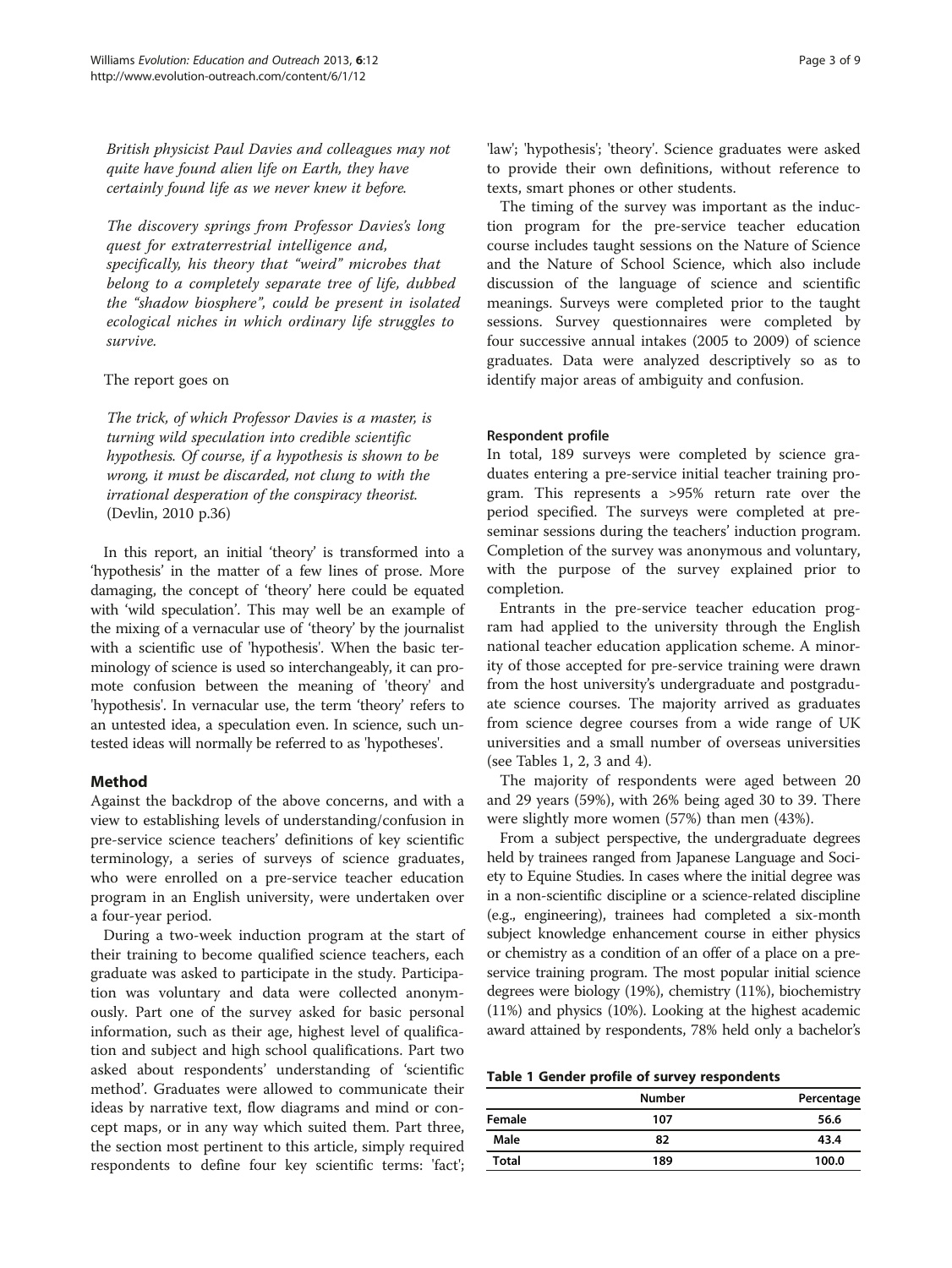British physicist Paul Davies and colleagues may not quite have found alien life on Earth, they have certainly found life as we never knew it before.

The discovery springs from Professor Davies's long quest for extraterrestrial intelligence and, specifically, his theory that "weird" microbes that belong to a completely separate tree of life, dubbed the "shadow biosphere", could be present in isolated ecological niches in which ordinary life struggles to survive.

#### The report goes on

The trick, of which Professor Davies is a master, is turning wild speculation into credible scientific hypothesis. Of course, if a hypothesis is shown to be wrong, it must be discarded, not clung to with the irrational desperation of the conspiracy theorist. (Devlin, [2010](#page-8-0) p.36)

In this report, an initial 'theory' is transformed into a 'hypothesis' in the matter of a few lines of prose. More damaging, the concept of 'theory' here could be equated with 'wild speculation'. This may well be an example of the mixing of a vernacular use of 'theory' by the journalist with a scientific use of 'hypothesis'. When the basic terminology of science is used so interchangeably, it can promote confusion between the meaning of 'theory' and 'hypothesis'. In vernacular use, the term 'theory' refers to an untested idea, a speculation even. In science, such untested ideas will normally be referred to as 'hypotheses'.

# Method

Against the backdrop of the above concerns, and with a view to establishing levels of understanding/confusion in pre-service science teachers' definitions of key scientific terminology, a series of surveys of science graduates, who were enrolled on a pre-service teacher education program in an English university, were undertaken over a four-year period.

During a two-week induction program at the start of their training to become qualified science teachers, each graduate was asked to participate in the study. Participation was voluntary and data were collected anonymously. Part one of the survey asked for basic personal information, such as their age, highest level of qualification and subject and high school qualifications. Part two asked about respondents' understanding of 'scientific method'. Graduates were allowed to communicate their ideas by narrative text, flow diagrams and mind or concept maps, or in any way which suited them. Part three, the section most pertinent to this article, simply required respondents to define four key scientific terms: 'fact';

'law'; 'hypothesis'; 'theory'. Science graduates were asked to provide their own definitions, without reference to texts, smart phones or other students.

The timing of the survey was important as the induction program for the pre-service teacher education course includes taught sessions on the Nature of Science and the Nature of School Science, which also include discussion of the language of science and scientific meanings. Surveys were completed prior to the taught sessions. Survey questionnaires were completed by four successive annual intakes (2005 to 2009) of science graduates. Data were analyzed descriptively so as to identify major areas of ambiguity and confusion.

#### Respondent profile

In total, 189 surveys were completed by science graduates entering a pre-service initial teacher training program. This represents a >95% return rate over the period specified. The surveys were completed at preseminar sessions during the teachers' induction program. Completion of the survey was anonymous and voluntary, with the purpose of the survey explained prior to completion.

Entrants in the pre-service teacher education program had applied to the university through the English national teacher education application scheme. A minority of those accepted for pre-service training were drawn from the host university's undergraduate and postgraduate science courses. The majority arrived as graduates from science degree courses from a wide range of UK universities and a small number of overseas universities (see Tables 1, [2, 3](#page-3-0) and [4](#page-3-0)).

The majority of respondents were aged between 20 and 29 years (59%), with 26% being aged 30 to 39. There were slightly more women (57%) than men (43%).

From a subject perspective, the undergraduate degrees held by trainees ranged from Japanese Language and Society to Equine Studies. In cases where the initial degree was in a non-scientific discipline or a science-related discipline (e.g., engineering), trainees had completed a six-month subject knowledge enhancement course in either physics or chemistry as a condition of an offer of a place on a preservice training program. The most popular initial science degrees were biology (19%), chemistry (11%), biochemistry (11%) and physics (10%). Looking at the highest academic award attained by respondents, 78% held only a bachelor's

#### Table 1 Gender profile of survey respondents

|        | <b>Number</b> | Percentage |
|--------|---------------|------------|
| Female | 107           | 56.6       |
| Male   | 82            | 43.4       |
| Total  | 189           | 100.0      |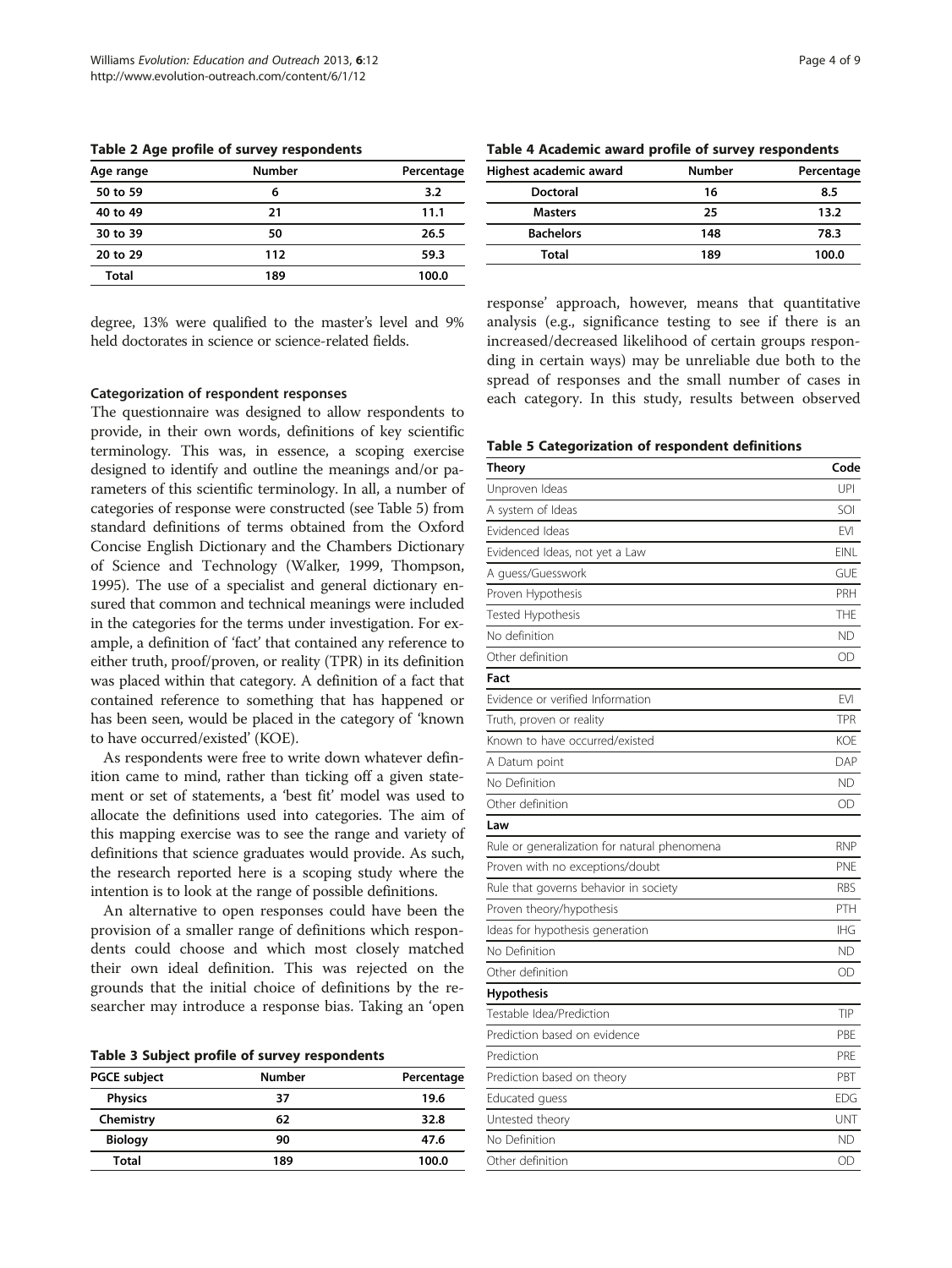<span id="page-3-0"></span>Table 2 Age profile of survey respondents

| Age range    | <b>Number</b> | Percentage |  |
|--------------|---------------|------------|--|
| 50 to 59     | 6             | 3.2        |  |
| 40 to 49     | 21            | 11.1       |  |
| 30 to 39     | 50            | 26.5       |  |
| 20 to 29     | 112           | 59.3       |  |
| <b>Total</b> | 189           | 100.0      |  |
|              |               |            |  |

degree, 13% were qualified to the master's level and 9% held doctorates in science or science-related fields.

### Categorization of respondent responses

The questionnaire was designed to allow respondents to provide, in their own words, definitions of key scientific terminology. This was, in essence, a scoping exercise designed to identify and outline the meanings and/or parameters of this scientific terminology. In all, a number of categories of response were constructed (see Table 5) from standard definitions of terms obtained from the Oxford Concise English Dictionary and the Chambers Dictionary of Science and Technology (Walker, [1999](#page-8-0), Thompson, [1995\)](#page-8-0). The use of a specialist and general dictionary ensured that common and technical meanings were included in the categories for the terms under investigation. For example, a definition of 'fact' that contained any reference to either truth, proof/proven, or reality (TPR) in its definition was placed within that category. A definition of a fact that contained reference to something that has happened or has been seen, would be placed in the category of 'known to have occurred/existed' (KOE).

As respondents were free to write down whatever definition came to mind, rather than ticking off a given statement or set of statements, a 'best fit' model was used to allocate the definitions used into categories. The aim of this mapping exercise was to see the range and variety of definitions that science graduates would provide. As such, the research reported here is a scoping study where the intention is to look at the range of possible definitions.

An alternative to open responses could have been the provision of a smaller range of definitions which respondents could choose and which most closely matched their own ideal definition. This was rejected on the grounds that the initial choice of definitions by the researcher may introduce a response bias. Taking an 'open

Table 3 Subject profile of survey respondents

| <b>Number</b> | Percentage |
|---------------|------------|
| 37            | 19.6       |
| 62            | 32.8       |
| 90            | 47.6       |
| 189           | 100.0      |
|               |            |

|  |  |  |  |  |  |  |  |  |  | Table 4 Academic award profile of survey respondents |  |
|--|--|--|--|--|--|--|--|--|--|------------------------------------------------------|--|
|--|--|--|--|--|--|--|--|--|--|------------------------------------------------------|--|

| Highest academic award | <b>Number</b> | Percentage |  |
|------------------------|---------------|------------|--|
| <b>Doctoral</b>        | 16            | 8.5        |  |
| <b>Masters</b>         | 25            | 13.2       |  |
| <b>Bachelors</b>       | 148           | 78.3       |  |
| <b>Total</b>           | 189           | 100.0      |  |
|                        |               |            |  |

response' approach, however, means that quantitative analysis (e.g., significance testing to see if there is an increased/decreased likelihood of certain groups responding in certain ways) may be unreliable due both to the spread of responses and the small number of cases in each category. In this study, results between observed

#### Table 5 Categorization of respondent definitions

| Theory                                       | Code       |
|----------------------------------------------|------------|
| Unproven Ideas                               | UPI        |
| A system of Ideas                            | SOI        |
| Evidenced Ideas                              | <b>EVI</b> |
| Evidenced Ideas, not yet a Law               | EINL       |
| A guess/Guesswork                            | <b>GUE</b> |
| Proven Hypothesis                            | PRH        |
| Tested Hypothesis                            | <b>THE</b> |
| No definition                                | <b>ND</b>  |
| Other definition                             | OD         |
| Fact                                         |            |
| Evidence or verified Information             | <b>EVI</b> |
| Truth, proven or reality                     | <b>TPR</b> |
| Known to have occurred/existed               | KOE        |
| A Datum point                                | DAP        |
| No Definition                                | <b>ND</b>  |
| Other definition                             | OD         |
| Law                                          |            |
| Rule or generalization for natural phenomena | <b>RNP</b> |
| Proven with no exceptions/doubt              | PNF        |
| Rule that governs behavior in society        | <b>RBS</b> |
| Proven theory/hypothesis                     | <b>PTH</b> |
| Ideas for hypothesis generation              | <b>IHG</b> |
| No Definition                                | ND.        |
| Other definition                             | OD         |
| <b>Hypothesis</b>                            |            |
| Testable Idea/Prediction                     | TIP        |
| Prediction based on evidence                 | PBE        |
| Prediction                                   | PRE        |
| Prediction based on theory                   | PBT        |
| Educated guess                               | EDG        |
| Untested theory                              | <b>UNT</b> |
| No Definition                                | <b>ND</b>  |
| Other definition                             | OD         |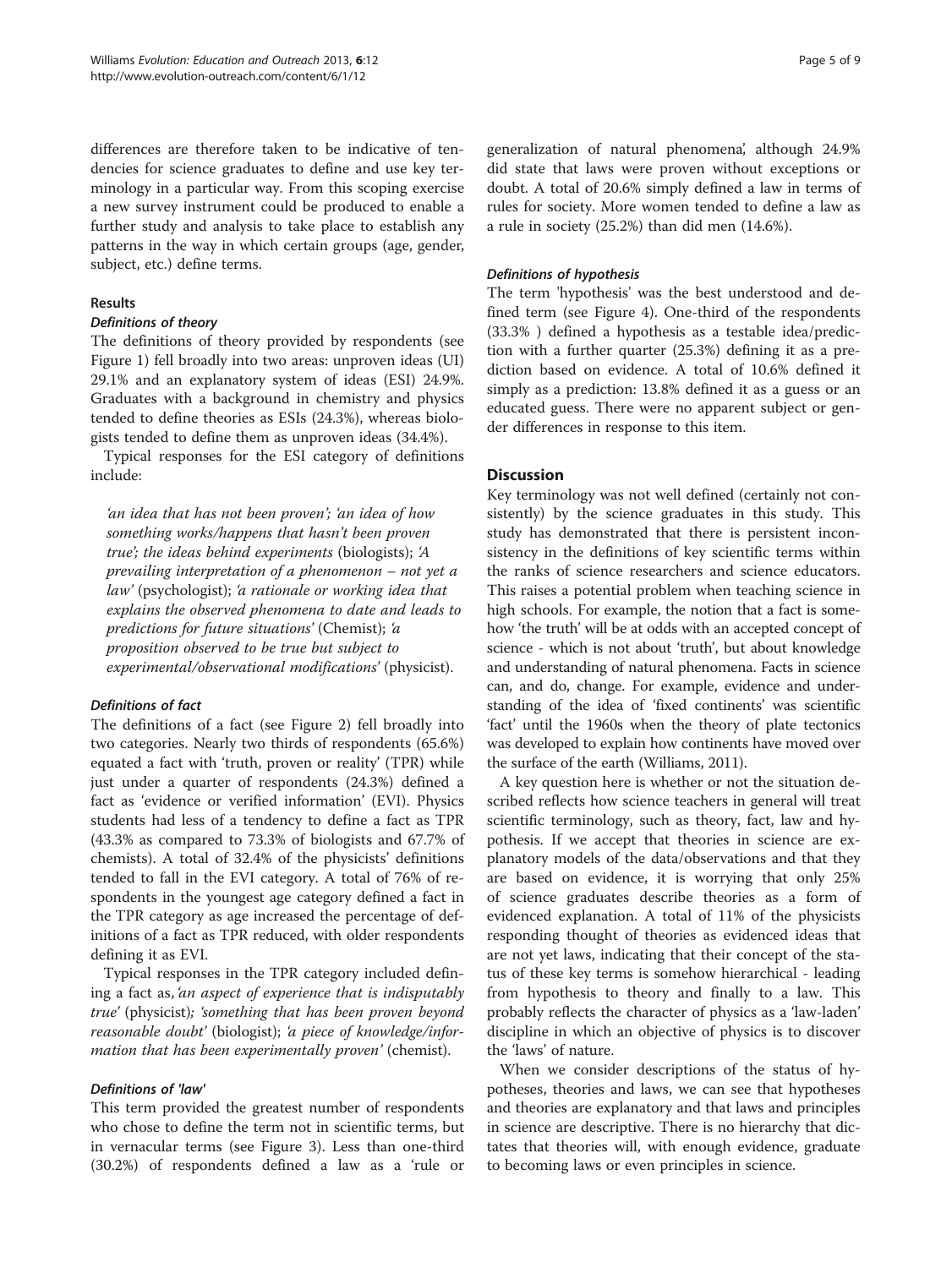differences are therefore taken to be indicative of tendencies for science graduates to define and use key terminology in a particular way. From this scoping exercise a new survey instrument could be produced to enable a further study and analysis to take place to establish any patterns in the way in which certain groups (age, gender, subject, etc.) define terms.

#### Results

### Definitions of theory

The definitions of theory provided by respondents (see Figure [1](#page-5-0)) fell broadly into two areas: unproven ideas (UI) 29.1% and an explanatory system of ideas (ESI) 24.9%. Graduates with a background in chemistry and physics tended to define theories as ESIs (24.3%), whereas biologists tended to define them as unproven ideas (34.4%).

Typical responses for the ESI category of definitions include:

'an idea that has not been proven'; 'an idea of how something works/happens that hasn't been proven true'; the ideas behind experiments (biologists); 'A prevailing interpretation of a phenomenon – not yet a law' (psychologist); 'a rationale or working idea that explains the observed phenomena to date and leads to predictions for future situations' (Chemist); 'a proposition observed to be true but subject to experimental/observational modifications' (physicist).

# Definitions of fact

The definitions of a fact (see Figure [2\)](#page-5-0) fell broadly into two categories. Nearly two thirds of respondents (65.6%) equated a fact with 'truth, proven or reality' (TPR) while just under a quarter of respondents (24.3%) defined a fact as 'evidence or verified information' (EVI). Physics students had less of a tendency to define a fact as TPR (43.3% as compared to 73.3% of biologists and 67.7% of chemists). A total of 32.4% of the physicists' definitions tended to fall in the EVI category. A total of 76% of respondents in the youngest age category defined a fact in the TPR category as age increased the percentage of definitions of a fact as TPR reduced, with older respondents defining it as EVI.

Typical responses in the TPR category included defining a fact as, 'an aspect of experience that is indisputably true' (physicist); 'something that has been proven beyond reasonable doubt' (biologist); 'a piece of knowledge/information that has been experimentally proven' (chemist).

#### Definitions of 'law'

This term provided the greatest number of respondents who chose to define the term not in scientific terms, but in vernacular terms (see Figure [3](#page-6-0)). Less than one-third (30.2%) of respondents defined a law as a 'rule or

generalization of natural phenomena', although 24.9% did state that laws were proven without exceptions or doubt. A total of 20.6% simply defined a law in terms of rules for society. More women tended to define a law as a rule in society (25.2%) than did men (14.6%).

### Definitions of hypothesis

The term 'hypothesis' was the best understood and defined term (see Figure [4](#page-7-0)). One-third of the respondents (33.3% ) defined a hypothesis as a testable idea/prediction with a further quarter (25.3%) defining it as a prediction based on evidence. A total of 10.6% defined it simply as a prediction: 13.8% defined it as a guess or an educated guess. There were no apparent subject or gender differences in response to this item.

### **Discussion**

Key terminology was not well defined (certainly not consistently) by the science graduates in this study. This study has demonstrated that there is persistent inconsistency in the definitions of key scientific terms within the ranks of science researchers and science educators. This raises a potential problem when teaching science in high schools. For example, the notion that a fact is somehow 'the truth' will be at odds with an accepted concept of science - which is not about 'truth', but about knowledge and understanding of natural phenomena. Facts in science can, and do, change. For example, evidence and understanding of the idea of 'fixed continents' was scientific 'fact' until the 1960s when the theory of plate tectonics was developed to explain how continents have moved over the surface of the earth (Williams, [2011](#page-8-0)).

A key question here is whether or not the situation described reflects how science teachers in general will treat scientific terminology, such as theory, fact, law and hypothesis. If we accept that theories in science are explanatory models of the data/observations and that they are based on evidence, it is worrying that only 25% of science graduates describe theories as a form of evidenced explanation. A total of 11% of the physicists responding thought of theories as evidenced ideas that are not yet laws, indicating that their concept of the status of these key terms is somehow hierarchical - leading from hypothesis to theory and finally to a law. This probably reflects the character of physics as a 'law-laden' discipline in which an objective of physics is to discover the 'laws' of nature.

When we consider descriptions of the status of hypotheses, theories and laws, we can see that hypotheses and theories are explanatory and that laws and principles in science are descriptive. There is no hierarchy that dictates that theories will, with enough evidence, graduate to becoming laws or even principles in science.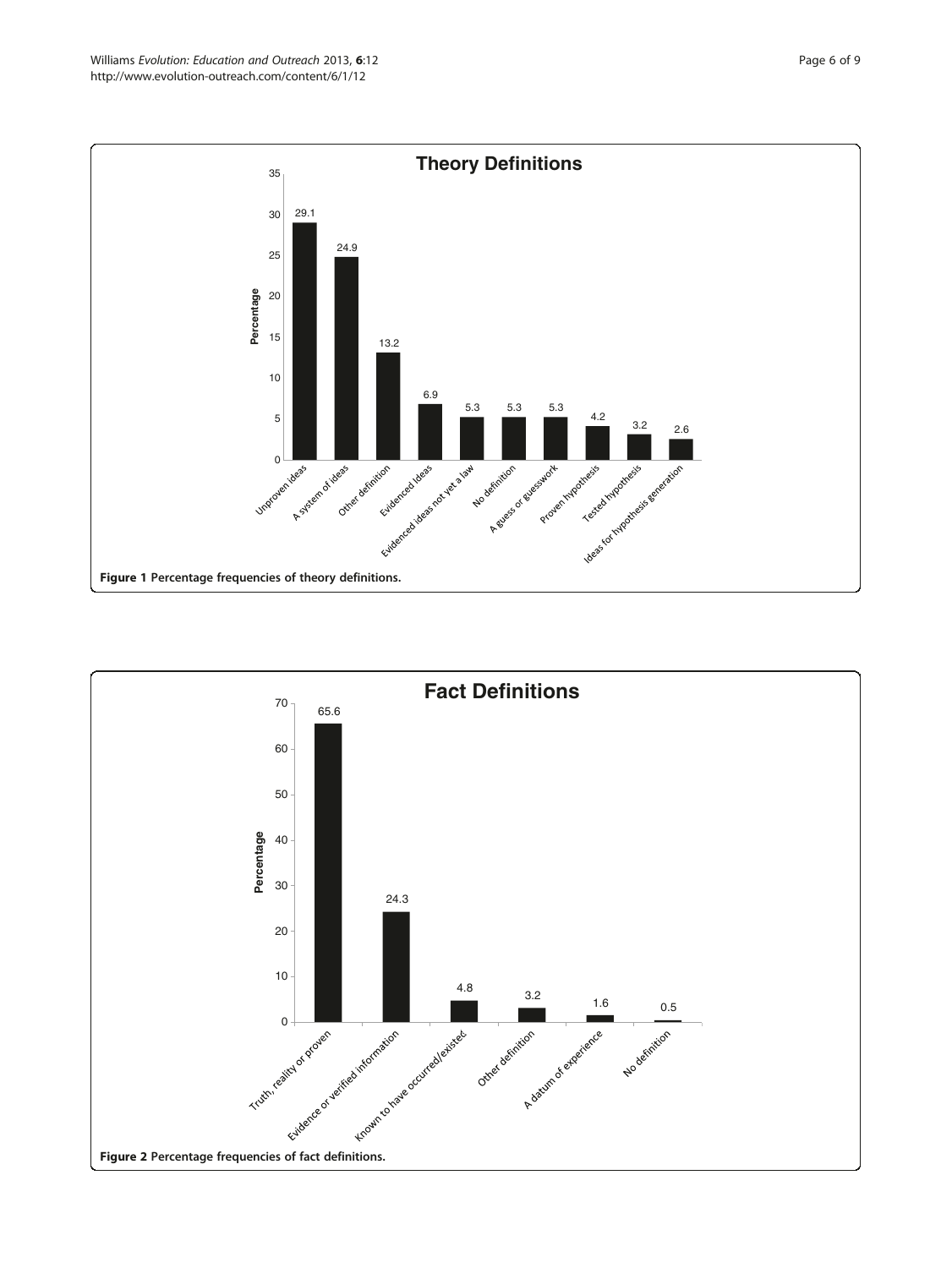<span id="page-5-0"></span>

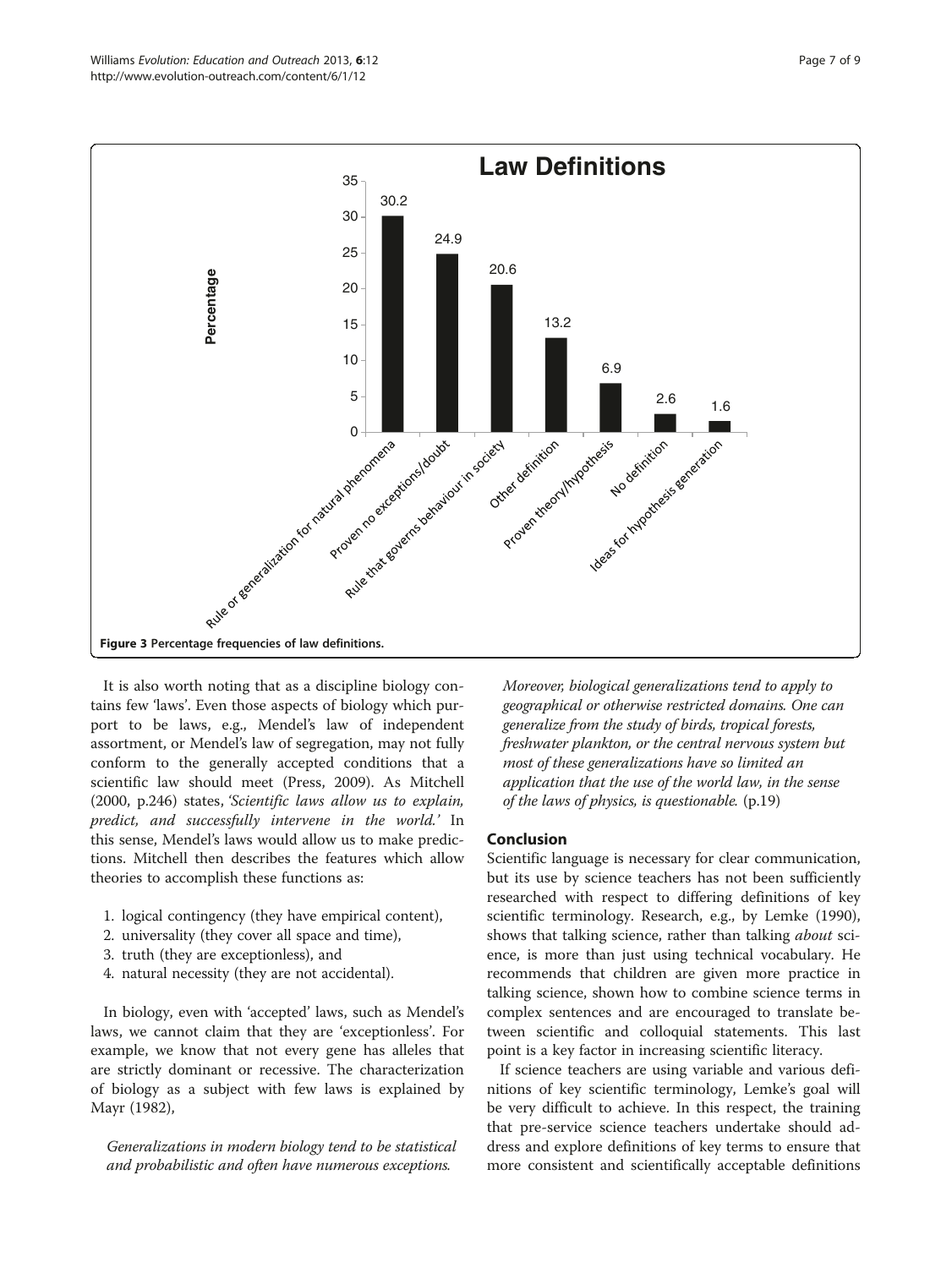<span id="page-6-0"></span>

It is also worth noting that as a discipline biology contains few 'laws'. Even those aspects of biology which purport to be laws, e.g., Mendel's law of independent assortment, or Mendel's law of segregation, may not fully conform to the generally accepted conditions that a scientific law should meet (Press, [2009\)](#page-8-0). As Mitchell (2000, p.246) states, 'Scientific laws allow us to explain, predict, and successfully intervene in the world.' In this sense, Mendel's laws would allow us to make predictions. Mitchell then describes the features which allow theories to accomplish these functions as:

- 1. logical contingency (they have empirical content),
- 2. universality (they cover all space and time),
- 3. truth (they are exceptionless), and
- 4. natural necessity (they are not accidental).

In biology, even with 'accepted' laws, such as Mendel's laws, we cannot claim that they are 'exceptionless'. For example, we know that not every gene has alleles that are strictly dominant or recessive. The characterization of biology as a subject with few laws is explained by Mayr [\(1982](#page-8-0)),

Generalizations in modern biology tend to be statistical and probabilistic and often have numerous exceptions.

Moreover, biological generalizations tend to apply to geographical or otherwise restricted domains. One can generalize from the study of birds, tropical forests, freshwater plankton, or the central nervous system but most of these generalizations have so limited an application that the use of the world law, in the sense of the laws of physics, is questionable. (p.19)

#### Conclusion

Scientific language is necessary for clear communication, but its use by science teachers has not been sufficiently researched with respect to differing definitions of key scientific terminology. Research, e.g., by Lemke ([1990](#page-8-0)), shows that talking science, rather than talking *about* science, is more than just using technical vocabulary. He recommends that children are given more practice in talking science, shown how to combine science terms in complex sentences and are encouraged to translate between scientific and colloquial statements. This last point is a key factor in increasing scientific literacy.

If science teachers are using variable and various definitions of key scientific terminology, Lemke's goal will be very difficult to achieve. In this respect, the training that pre-service science teachers undertake should address and explore definitions of key terms to ensure that more consistent and scientifically acceptable definitions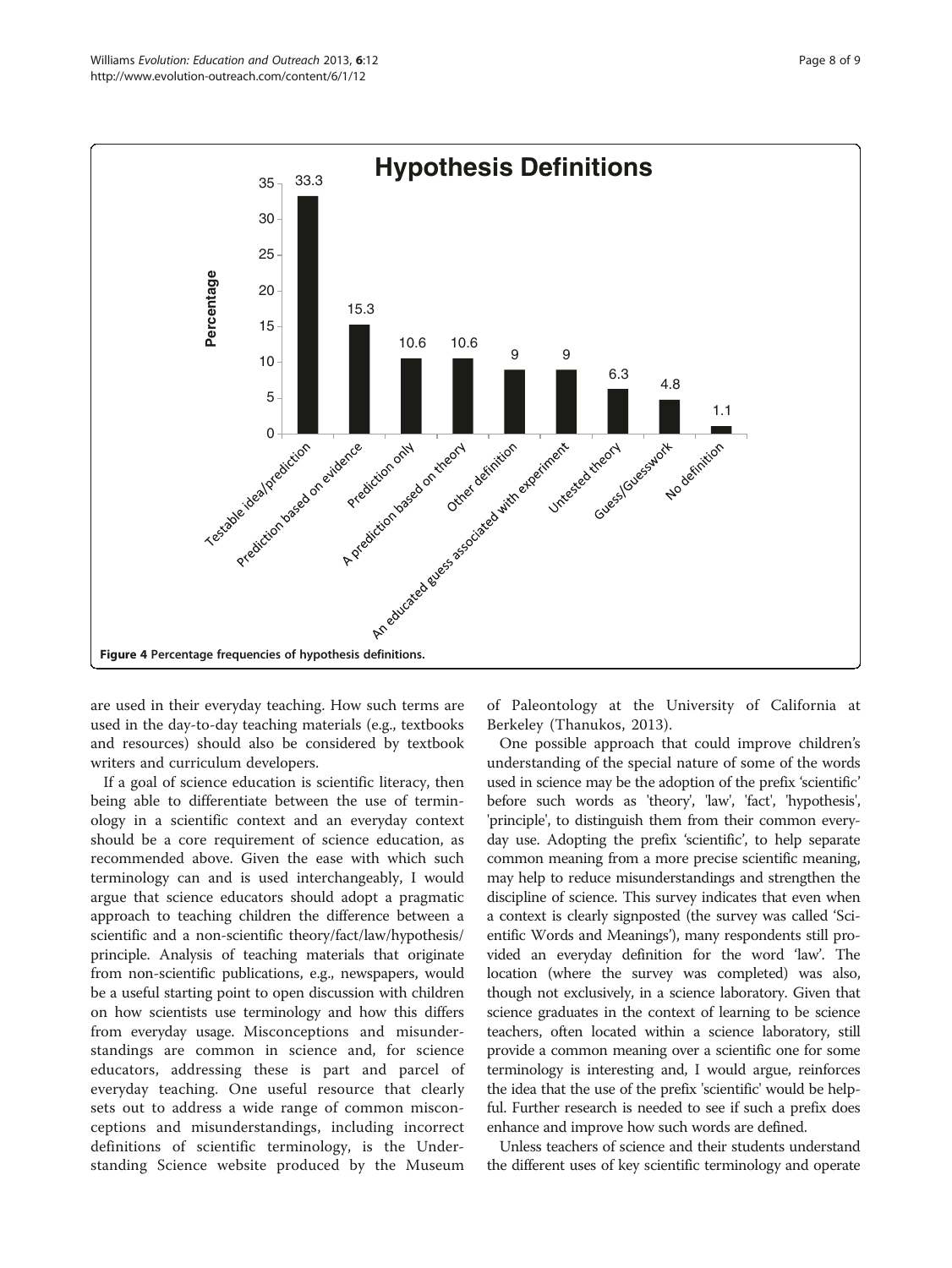<span id="page-7-0"></span>

are used in their everyday teaching. How such terms are used in the day-to-day teaching materials (e.g., textbooks and resources) should also be considered by textbook writers and curriculum developers.

If a goal of science education is scientific literacy, then being able to differentiate between the use of terminology in a scientific context and an everyday context should be a core requirement of science education, as recommended above. Given the ease with which such terminology can and is used interchangeably, I would argue that science educators should adopt a pragmatic approach to teaching children the difference between a scientific and a non-scientific theory/fact/law/hypothesis/ principle. Analysis of teaching materials that originate from non-scientific publications, e.g., newspapers, would be a useful starting point to open discussion with children on how scientists use terminology and how this differs from everyday usage. Misconceptions and misunderstandings are common in science and, for science educators, addressing these is part and parcel of everyday teaching. One useful resource that clearly sets out to address a wide range of common misconceptions and misunderstandings, including incorrect definitions of scientific terminology, is the Understanding Science website produced by the Museum

of Paleontology at the University of California at Berkeley (Thanukos, [2013](#page-8-0)).

One possible approach that could improve children's understanding of the special nature of some of the words used in science may be the adoption of the prefix 'scientific' before such words as 'theory', 'law', 'fact', 'hypothesis', 'principle', to distinguish them from their common everyday use. Adopting the prefix 'scientific', to help separate common meaning from a more precise scientific meaning, may help to reduce misunderstandings and strengthen the discipline of science. This survey indicates that even when a context is clearly signposted (the survey was called 'Scientific Words and Meanings'), many respondents still provided an everyday definition for the word 'law'. The location (where the survey was completed) was also, though not exclusively, in a science laboratory. Given that science graduates in the context of learning to be science teachers, often located within a science laboratory, still provide a common meaning over a scientific one for some terminology is interesting and, I would argue, reinforces the idea that the use of the prefix 'scientific' would be helpful. Further research is needed to see if such a prefix does enhance and improve how such words are defined.

Unless teachers of science and their students understand the different uses of key scientific terminology and operate